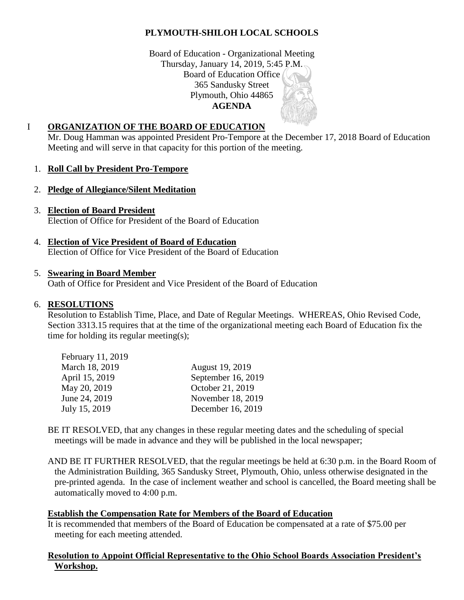# **PLYMOUTH-SHILOH LOCAL SCHOOLS**

Board of Education - Organizational Meeting Thursday, January 14, 2019, 5:45 P.M. Board of Education Office 365 Sandusky Street Plymouth, Ohio 44865 **AGENDA**

### I **ORGANIZATION OF THE BOARD OF EDUCATION**

Mr. Doug Hamman was appointed President Pro-Tempore at the December 17, 2018 Board of Education Meeting and will serve in that capacity for this portion of the meeting.

### 1. **Roll Call by President Pro-Tempore**

- 2. **Pledge of Allegiance/Silent Meditation**
- 3. **Election of Board President** Election of Office for President of the Board of Education
- 4. **Election of Vice President of Board of Education** Election of Office for Vice President of the Board of Education

#### 5. **Swearing in Board Member**

Oath of Office for President and Vice President of the Board of Education

#### 6. **RESOLUTIONS**

Resolution to Establish Time, Place, and Date of Regular Meetings. WHEREAS, Ohio Revised Code, Section 3313.15 requires that at the time of the organizational meeting each Board of Education fix the time for holding its regular meeting(s);

| February 11, 2019 |                    |
|-------------------|--------------------|
| March 18, 2019    | August 19, 2019    |
| April 15, 2019    | September 16, 2019 |
| May 20, 2019      | October 21, 2019   |
| June 24, 2019     | November 18, 2019  |
| July 15, 2019     | December 16, 2019  |

BE IT RESOLVED, that any changes in these regular meeting dates and the scheduling of special meetings will be made in advance and they will be published in the local newspaper;

AND BE IT FURTHER RESOLVED, that the regular meetings be held at 6:30 p.m. in the Board Room of the Administration Building, 365 Sandusky Street, Plymouth, Ohio, unless otherwise designated in the pre-printed agenda. In the case of inclement weather and school is cancelled, the Board meeting shall be automatically moved to 4:00 p.m.

#### **Establish the Compensation Rate for Members of the Board of Education**

It is recommended that members of the Board of Education be compensated at a rate of \$75.00 per meeting for each meeting attended.

#### **Resolution to Appoint Official Representative to the Ohio School Boards Association President's Workshop.**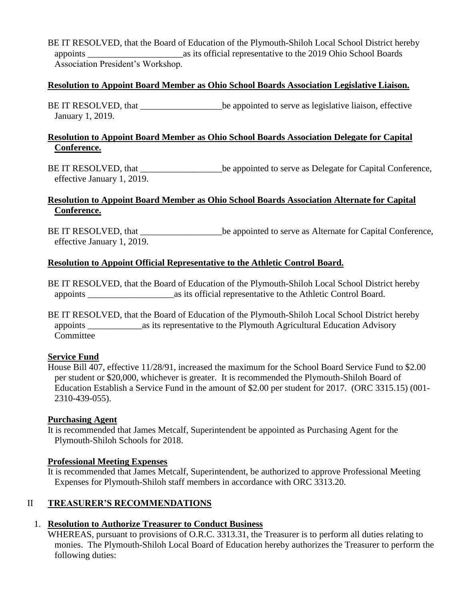BE IT RESOLVED, that the Board of Education of the Plymouth-Shiloh Local School District hereby appoints \_\_\_\_\_\_\_\_\_\_\_\_\_\_\_\_\_\_\_\_\_as its official representative to the 2019 Ohio School Boards Association President's Workshop.

### **Resolution to Appoint Board Member as Ohio School Boards Association Legislative Liaison.**

BE IT RESOLVED, that be appointed to serve as legislative liaison, effective January 1, 2019.

### **Resolution to Appoint Board Member as Ohio School Boards Association Delegate for Capital Conference.**

BE IT RESOLVED, that  $\qquad \qquad$  be appointed to serve as Delegate for Capital Conference, effective January 1, 2019.

# **Resolution to Appoint Board Member as Ohio School Boards Association Alternate for Capital Conference.**

BE IT RESOLVED, that  $\qquad \qquad$  be appointed to serve as Alternate for Capital Conference, effective January 1, 2019.

## **Resolution to Appoint Official Representative to the Athletic Control Board.**

BE IT RESOLVED, that the Board of Education of the Plymouth-Shiloh Local School District hereby appoints \_\_\_\_\_\_\_\_\_\_\_\_\_\_\_\_\_\_\_as its official representative to the Athletic Control Board.

BE IT RESOLVED, that the Board of Education of the Plymouth-Shiloh Local School District hereby appoints \_\_\_\_\_\_\_\_\_\_\_\_as its representative to the Plymouth Agricultural Education Advisory Committee

### **Service Fund**

House Bill 407, effective 11/28/91, increased the maximum for the School Board Service Fund to \$2.00 per student or \$20,000, whichever is greater. It is recommended the Plymouth-Shiloh Board of Education Establish a Service Fund in the amount of \$2.00 per student for 2017. (ORC 3315.15) (001- 2310-439-055).

### **Purchasing Agent**

It is recommended that James Metcalf, Superintendent be appointed as Purchasing Agent for the Plymouth-Shiloh Schools for 2018.

### **Professional Meeting Expenses**

It is recommended that James Metcalf, Superintendent, be authorized to approve Professional Meeting Expenses for Plymouth-Shiloh staff members in accordance with ORC 3313.20.

# II **TREASURER'S RECOMMENDATIONS**

# 1. **Resolution to Authorize Treasurer to Conduct Business**

WHEREAS, pursuant to provisions of O.R.C. 3313.31, the Treasurer is to perform all duties relating to monies. The Plymouth-Shiloh Local Board of Education hereby authorizes the Treasurer to perform the following duties: